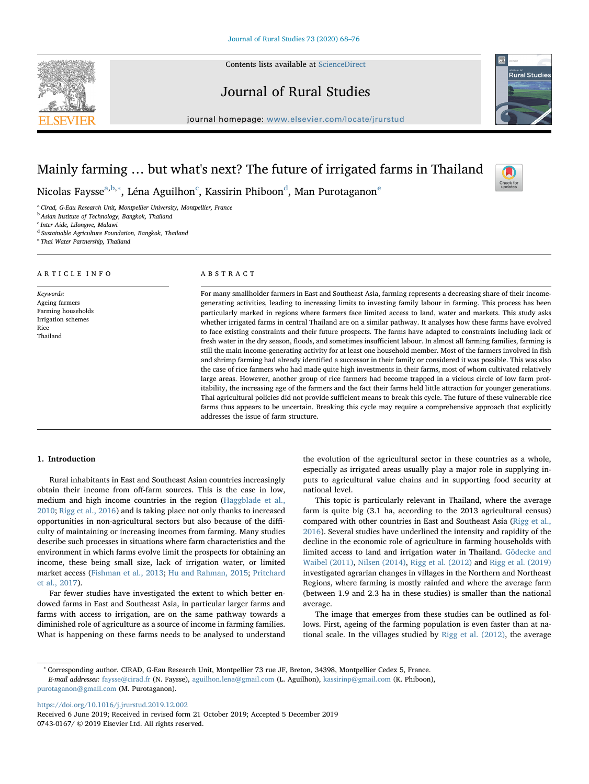Contents lists available at [ScienceDirect](http://www.sciencedirect.com/science/journal/07430167)

# Journal of Rural Studies

journal homepage: [www.elsevier.com/locate/jrurstud](https://www.elsevier.com/locate/jrurstud)



Check fo

# Mainly farming … but what's next? The future of irrigated farms in Thailand

Nicolas Faysse<sup>[a,](#page-0-0)[b](#page-0-1),</sup>\*, Léna Aguilhon<sup>[c](#page-0-3)</sup>, Kassirin Phiboon<sup>[d](#page-0-4)</sup>, Man Purotaganon<sup>[e](#page-0-5)</sup>

<span id="page-0-0"></span><sup>a</sup> Cirad, G-Eau Research Unit, Montpellier University, Montpellier, France

<span id="page-0-1"></span>**b** Asian Institute of Technology, Bangkok, Thailand

<span id="page-0-3"></span><sup>c</sup> Inter Aide, Lilongwe, Malawi

ARTICLE INFO

Keywords: Ageing farmers Farming households Irrigation schemes

Rice Thailand

<span id="page-0-4"></span><sup>d</sup> Sustainable Agriculture Foundation, Bangkok, Thailand

<span id="page-0-5"></span><sup>e</sup> Thai Water Partnership, Thailand

# ABSTRACT

For many smallholder farmers in East and Southeast Asia, farming represents a decreasing share of their incomegenerating activities, leading to increasing limits to investing family labour in farming. This process has been particularly marked in regions where farmers face limited access to land, water and markets. This study asks whether irrigated farms in central Thailand are on a similar pathway. It analyses how these farms have evolved to face existing constraints and their future prospects. The farms have adapted to constraints including lack of fresh water in the dry season, floods, and sometimes insufficient labour. In almost all farming families, farming is still the main income-generating activity for at least one household member. Most of the farmers involved in fish and shrimp farming had already identified a successor in their family or considered it was possible. This was also the case of rice farmers who had made quite high investments in their farms, most of whom cultivated relatively large areas. However, another group of rice farmers had become trapped in a vicious circle of low farm profitability, the increasing age of the farmers and the fact their farms held little attraction for younger generations. Thai agricultural policies did not provide sufficient means to break this cycle. The future of these vulnerable rice farms thus appears to be uncertain. Breaking this cycle may require a comprehensive approach that explicitly addresses the issue of farm structure.

### 1. Introduction

Rural inhabitants in East and Southeast Asian countries increasingly obtain their income from off-farm sources. This is the case in low, medium and high income countries in the region [\(Haggblade et al.,](#page-7-0) [2010;](#page-7-0) [Rigg et al., 2016](#page-8-0)) and is taking place not only thanks to increased opportunities in non-agricultural sectors but also because of the difficulty of maintaining or increasing incomes from farming. Many studies describe such processes in situations where farm characteristics and the environment in which farms evolve limit the prospects for obtaining an income, these being small size, lack of irrigation water, or limited market access [\(Fishman et al., 2013](#page-7-1); [Hu and Rahman, 2015](#page-7-2); [Pritchard](#page-7-3) [et al., 2017](#page-7-3)).

Far fewer studies have investigated the extent to which better endowed farms in East and Southeast Asia, in particular larger farms and farms with access to irrigation, are on the same pathway towards a diminished role of agriculture as a source of income in farming families. What is happening on these farms needs to be analysed to understand

the evolution of the agricultural sector in these countries as a whole, especially as irrigated areas usually play a major role in supplying inputs to agricultural value chains and in supporting food security at national level.

This topic is particularly relevant in Thailand, where the average farm is quite big (3.1 ha, according to the 2013 agricultural census) compared with other countries in East and Southeast Asia ([Rigg et al.,](#page-8-0) [2016\)](#page-8-0). Several studies have underlined the intensity and rapidity of the decline in the economic role of agriculture in farming households with limited access to land and irrigation water in Thailand. [Gödecke and](#page-7-4) [Waibel \(2011\),](#page-7-4) [Nilsen \(2014\),](#page-7-5) [Rigg et al. \(2012\)](#page-7-6) and [Rigg et al. \(2019\)](#page-8-1) investigated agrarian changes in villages in the Northern and Northeast Regions, where farming is mostly rainfed and where the average farm (between 1.9 and 2.3 ha in these studies) is smaller than the national average.

The image that emerges from these studies can be outlined as follows. First, ageing of the farming population is even faster than at national scale. In the villages studied by [Rigg et al. \(2012\),](#page-7-6) the average

<https://doi.org/10.1016/j.jrurstud.2019.12.002>

<span id="page-0-2"></span><sup>∗</sup> Corresponding author. CIRAD, G-Eau Research Unit, Montpellier 73 rue JF, Breton, 34398, Montpellier Cedex 5, France. E-mail addresses: [faysse@cirad.fr](mailto:faysse@cirad.fr) (N. Faysse), [aguilhon.lena@gmail.com](mailto:aguilhon.lena@gmail.com) (L. Aguilhon), [kassirinp@gmail.com](mailto:kassirinp@gmail.com) (K. Phiboon), [purotaganon@gmail.com](mailto:purotaganon@gmail.com) (M. Purotaganon).

Received 6 June 2019; Received in revised form 21 October 2019; Accepted 5 December 2019 0743-0167/ © 2019 Elsevier Ltd. All rights reserved.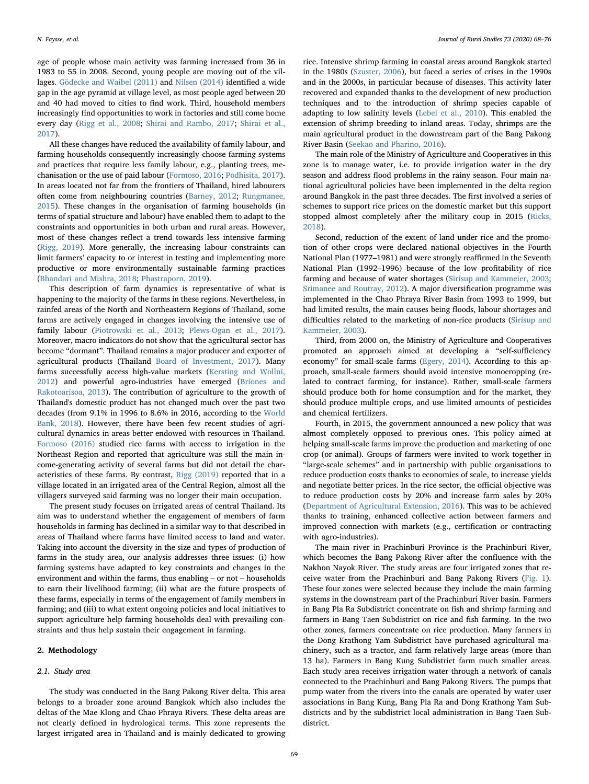age of people whose main activity was farming increased from 36 in 1983 to 55 in 2008. Second, young people are moving out of the villages. [Gödecke and Waibel \(2011\)](#page-7-4) and [Nilsen \(2014\)](#page-7-5) identified a wide gap in the age pyramid at village level, as most people aged between 20 and 40 had moved to cities to find work. Third, household members increasingly find opportunities to work in factories and still come home every day ([Rigg et al., 2008](#page-7-7); [Shirai and Rambo, 2017](#page-8-2); [Shirai et al.,](#page-8-3) [2017\)](#page-8-3).

All these changes have reduced the availability of family labour, and farming households consequently increasingly choose farming systems and practices that require less family labour, e.g., planting trees, mechanisation or the use of paid labour [\(Formoso, 2016;](#page-7-8) [Podhisita, 2017](#page-7-9)). In areas located not far from the frontiers of Thailand, hired labourers often come from neighbouring countries ([Barney, 2012](#page-7-10); [Rungmanee,](#page-8-4) [2015\)](#page-8-4). These changes in the organisation of farming households (in terms of spatial structure and labour) have enabled them to adapt to the constraints and opportunities in both urban and rural areas. However, most of these changes reflect a trend towards less intensive farming ([Rigg, 2019\)](#page-7-11). More generally, the increasing labour constraints can limit farmers' capacity to or interest in testing and implementing more productive or more environmentally sustainable farming practices ([Bhandari and Mishra, 2018](#page-7-12); [Phastraporn, 2019\)](#page-7-13).

This description of farm dynamics is representative of what is happening to the majority of the farms in these regions. Nevertheless, in rainfed areas of the North and Northeastern Regions of Thailand, some farms are actively engaged in changes involving the intensive use of family labour ([Piotrowski et al., 2013](#page-7-14); [Plews-Ogan et al., 2017](#page-7-15)). Moreover, macro indicators do not show that the agricultural sector has become "dormant". Thailand remains a major producer and exporter of agricultural products (Thailand [Board of Investment, 2017\)](#page-7-16). Many farms successfully access high-value markets ([Kersting and Wollni,](#page-7-17) [2012\)](#page-7-17) and powerful agro-industries have emerged [\(Briones and](#page-7-18) [Rakotoarisoa, 2013\)](#page-7-18). The contribution of agriculture to the growth of Thailand's domestic product has not changed much over the past two decades (from 9.1% in 1996 to 8.6% in 2016, according to the [World](#page-8-5) [Bank, 2018](#page-8-5)). However, there have been few recent studies of agricultural dynamics in areas better endowed with resources in Thailand. [Formoso \(2016\)](#page-7-8) studied rice farms with access to irrigation in the Northeast Region and reported that agriculture was still the main income-generating activity of several farms but did not detail the characteristics of these farms. By contrast, [Rigg \(2019\)](#page-7-11) reported that in a village located in an irrigated area of the Central Region, almost all the villagers surveyed said farming was no longer their main occupation.

The present study focuses on irrigated areas of central Thailand. Its aim was to understand whether the engagement of members of farm households in farming has declined in a similar way to that described in areas of Thailand where farms have limited access to land and water. Taking into account the diversity in the size and types of production of farms in the study area, our analysis addresses three issues: (i) how farming systems have adapted to key constraints and changes in the environment and within the farms, thus enabling – or not – households to earn their livelihood farming; (ii) what are the future prospects of these farms, especially in terms of the engagement of family members in farming; and (iii) to what extent ongoing policies and local initiatives to support agriculture help farming households deal with prevailing constraints and thus help sustain their engagement in farming.

### 2. Methodology

#### 2.1. Study area

The study was conducted in the Bang Pakong River delta. This area belongs to a broader zone around Bangkok which also includes the deltas of the Mae Klong and Chao Phraya Rivers. These delta areas are not clearly defined in hydrological terms. This zone represents the largest irrigated area in Thailand and is mainly dedicated to growing rice. Intensive shrimp farming in coastal areas around Bangkok started in the 1980s ([Szuster, 2006](#page-8-6)), but faced a series of crises in the 1990s and in the 2000s, in particular because of diseases. This activity later recovered and expanded thanks to the development of new production techniques and to the introduction of shrimp species capable of adapting to low salinity levels ([Lebel et al., 2010](#page-7-19)). This enabled the extension of shrimp breeding to inland areas. Today, shrimps are the main agricultural product in the downstream part of the Bang Pakong River Basin ([Seekao and Pharino, 2016](#page-8-7)).

The main role of the Ministry of Agriculture and Cooperatives in this zone is to manage water, i.e. to provide irrigation water in the dry season and address flood problems in the rainy season. Four main national agricultural policies have been implemented in the delta region around Bangkok in the past three decades. The first involved a series of schemes to support rice prices on the domestic market but this support stopped almost completely after the military coup in 2015 ([Ricks,](#page-7-20) [2018\)](#page-7-20).

Second, reduction of the extent of land under rice and the promotion of other crops were declared national objectives in the Fourth National Plan (1977–1981) and were strongly reaffirmed in the Seventh National Plan (1992–1996) because of the low profitability of rice farming and because of water shortages ([Sirisup and Kammeier, 2003](#page-8-8); [Srimanee and Routray, 2012\)](#page-8-9). A major diversification programme was implemented in the Chao Phraya River Basin from 1993 to 1999, but had limited results, the main causes being floods, labour shortages and difficulties related to the marketing of non-rice products [\(Sirisup and](#page-8-8) [Kammeier, 2003](#page-8-8)).

Third, from 2000 on, the Ministry of Agriculture and Cooperatives promoted an approach aimed at developing a "self-sufficiency economy" for small-scale farms ([Egery, 2014](#page-7-21)). According to this approach, small-scale farmers should avoid intensive monocropping (related to contract farming, for instance). Rather, small-scale farmers should produce both for home consumption and for the market, they should produce multiple crops, and use limited amounts of pesticides and chemical fertilizers.

Fourth, in 2015, the government announced a new policy that was almost completely opposed to previous ones. This policy aimed at helping small-scale farms improve the production and marketing of one crop (or animal). Groups of farmers were invited to work together in "large-scale schemes" and in partnership with public organisations to reduce production costs thanks to economies of scale, to increase yields and negotiate better prices. In the rice sector, the official objective was to reduce production costs by 20% and increase farm sales by 20% ([Department of Agricultural Extension, 2016](#page-7-22)). This was to be achieved thanks to training, enhanced collective action between farmers and improved connection with markets (e.g., certification or contracting with agro-industries).

The main river in Prachinburi Province is the Prachinburi River, which becomes the Bang Pakong River after the confluence with the Nakhon Nayok River. The study areas are four irrigated zones that receive water from the Prachinburi and Bang Pakong Rivers ([Fig. 1](#page-2-0)). These four zones were selected because they include the main farming systems in the downstream part of the Prachinburi River basin. Farmers in Bang Pla Ra Subdistrict concentrate on fish and shrimp farming and farmers in Bang Taen Subdistrict on rice and fish farming. In the two other zones, farmers concentrate on rice production. Many farmers in the Dong Krathong Yam Subdistrict have purchased agricultural machinery, such as a tractor, and farm relatively large areas (more than 13 ha). Farmers in Bang Kung Subdistrict farm much smaller areas. Each study area receives irrigation water through a network of canals connected to the Prachinburi and Bang Pakong Rivers. The pumps that pump water from the rivers into the canals are operated by water user associations in Bang Kung, Bang Pla Ra and Dong Krathong Yam Subdistricts and by the subdistrict local administration in Bang Taen Subdistrict.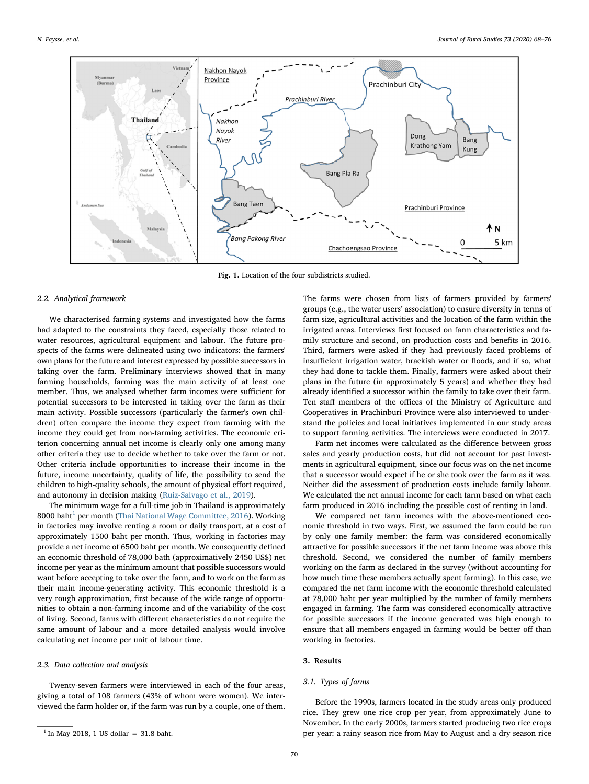<span id="page-2-0"></span>

Fig. 1. Location of the four subdistricts studied.

#### 2.2. Analytical framework

We characterised farming systems and investigated how the farms had adapted to the constraints they faced, especially those related to water resources, agricultural equipment and labour. The future prospects of the farms were delineated using two indicators: the farmers' own plans for the future and interest expressed by possible successors in taking over the farm. Preliminary interviews showed that in many farming households, farming was the main activity of at least one member. Thus, we analysed whether farm incomes were sufficient for potential successors to be interested in taking over the farm as their main activity. Possible successors (particularly the farmer's own children) often compare the income they expect from farming with the income they could get from non-farming activities. The economic criterion concerning annual net income is clearly only one among many other criteria they use to decide whether to take over the farm or not. Other criteria include opportunities to increase their income in the future, income uncertainty, quality of life, the possibility to send the children to high-quality schools, the amount of physical effort required, and autonomy in decision making ([Ruiz-Salvago et al., 2019\)](#page-8-10).

The minimum wage for a full-time job in Thailand is approximately 8000 baht<sup>[1](#page-2-1)</sup> per month ([Thai National Wage Committee, 2016](#page-8-11)). Working in factories may involve renting a room or daily transport, at a cost of approximately 1500 baht per month. Thus, working in factories may provide a net income of 6500 baht per month. We consequently defined an economic threshold of 78,000 bath (approximatively 2450 US\$) net income per year as the minimum amount that possible successors would want before accepting to take over the farm, and to work on the farm as their main income-generating activity. This economic threshold is a very rough approximation, first because of the wide range of opportunities to obtain a non-farming income and of the variability of the cost of living. Second, farms with different characteristics do not require the same amount of labour and a more detailed analysis would involve calculating net income per unit of labour time.

## 2.3. Data collection and analysis

Twenty-seven farmers were interviewed in each of the four areas, giving a total of 108 farmers (43% of whom were women). We interviewed the farm holder or, if the farm was run by a couple, one of them. The farms were chosen from lists of farmers provided by farmers' groups (e.g., the water users' association) to ensure diversity in terms of farm size, agricultural activities and the location of the farm within the irrigated areas. Interviews first focused on farm characteristics and family structure and second, on production costs and benefits in 2016. Third, farmers were asked if they had previously faced problems of insufficient irrigation water, brackish water or floods, and if so, what they had done to tackle them. Finally, farmers were asked about their plans in the future (in approximately 5 years) and whether they had already identified a successor within the family to take over their farm. Ten staff members of the offices of the Ministry of Agriculture and Cooperatives in Prachinburi Province were also interviewed to understand the policies and local initiatives implemented in our study areas to support farming activities. The interviews were conducted in 2017.

Farm net incomes were calculated as the difference between gross sales and yearly production costs, but did not account for past investments in agricultural equipment, since our focus was on the net income that a successor would expect if he or she took over the farm as it was. Neither did the assessment of production costs include family labour. We calculated the net annual income for each farm based on what each farm produced in 2016 including the possible cost of renting in land.

We compared net farm incomes with the above-mentioned economic threshold in two ways. First, we assumed the farm could be run by only one family member: the farm was considered economically attractive for possible successors if the net farm income was above this threshold. Second, we considered the number of family members working on the farm as declared in the survey (without accounting for how much time these members actually spent farming). In this case, we compared the net farm income with the economic threshold calculated at 78,000 baht per year multiplied by the number of family members engaged in farming. The farm was considered economically attractive for possible successors if the income generated was high enough to ensure that all members engaged in farming would be better off than working in factories.

# 3. Results

#### 3.1. Types of farms

Before the 1990s, farmers located in the study areas only produced rice. They grew one rice crop per year, from approximately June to November. In the early 2000s, farmers started producing two rice crops per year: a rainy season rice from May to August and a dry season rice

<span id="page-2-1"></span> $1$  In May 2018, 1 US dollar = 31.8 baht.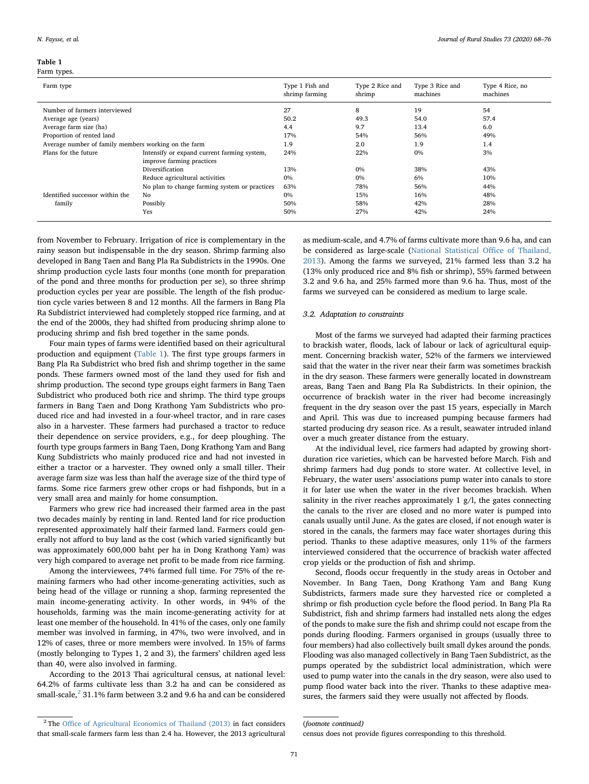<span id="page-3-0"></span>

| Farm type                                            |                                                                          | Type 1 Fish and<br>shrimp farming | Type 2 Rice and<br>shrimp | Type 3 Rice and<br>machines | Type 4 Rice, no<br>machines |
|------------------------------------------------------|--------------------------------------------------------------------------|-----------------------------------|---------------------------|-----------------------------|-----------------------------|
| Number of farmers interviewed                        |                                                                          | 27                                | 8                         | 19                          | 54                          |
| Average age (years)                                  |                                                                          | 50.2                              | 49.3                      | 54.0                        | 57.4                        |
| Average farm size (ha)                               |                                                                          | 4.4                               | 9.7                       | 13.4                        | 6.0                         |
| Proportion of rented land                            |                                                                          | 17%                               | 54%                       | 56%                         | 49%                         |
| Average number of family members working on the farm |                                                                          | 1.9                               | 2.0                       | 1.9                         | 1.4                         |
| Plans for the future                                 | Intensify or expand current farming system,<br>improve farming practices | 24%                               | 22%                       | $0\%$                       | 3%                          |
|                                                      | Diversification                                                          | 13%                               | $0\%$                     | 38%                         | 43%                         |
|                                                      | Reduce agricultural activities                                           | 0%                                | $0\%$                     | 6%                          | 10%                         |
|                                                      | No plan to change farming system or practices                            | 63%                               | 78%                       | 56%                         | 44%                         |
| Identified successor within the                      | No                                                                       | 0%                                | 15%                       | 16%                         | 48%                         |
| family                                               | Possibly                                                                 | 50%                               | 58%                       | 42%                         | 28%                         |
|                                                      | Yes                                                                      | 50%                               | 27%                       | 42%                         | 24%                         |

from November to February. Irrigation of rice is complementary in the rainy season but indispensable in the dry season. Shrimp farming also developed in Bang Taen and Bang Pla Ra Subdistricts in the 1990s. One shrimp production cycle lasts four months (one month for preparation of the pond and three months for production per se), so three shrimp production cycles per year are possible. The length of the fish production cycle varies between 8 and 12 months. All the farmers in Bang Pla Ra Subdistrict interviewed had completely stopped rice farming, and at the end of the 2000s, they had shifted from producing shrimp alone to producing shrimp and fish bred together in the same ponds.

Four main types of farms were identified based on their agricultural production and equipment ([Table 1\)](#page-3-0). The first type groups farmers in Bang Pla Ra Subdistrict who bred fish and shrimp together in the same ponds. These farmers owned most of the land they used for fish and shrimp production. The second type groups eight farmers in Bang Taen Subdistrict who produced both rice and shrimp. The third type groups farmers in Bang Taen and Dong Krathong Yam Subdistricts who produced rice and had invested in a four-wheel tractor, and in rare cases also in a harvester. These farmers had purchased a tractor to reduce their dependence on service providers, e.g., for deep ploughing. The fourth type groups farmers in Bang Taen, Dong Krathong Yam and Bang Kung Subdistricts who mainly produced rice and had not invested in either a tractor or a harvester. They owned only a small tiller. Their average farm size was less than half the average size of the third type of farms. Some rice farmers grew other crops or had fishponds, but in a very small area and mainly for home consumption.

Farmers who grew rice had increased their farmed area in the past two decades mainly by renting in land. Rented land for rice production represented approximately half their farmed land. Farmers could generally not afford to buy land as the cost (which varied significantly but was approximately 600,000 baht per ha in Dong Krathong Yam) was very high compared to average net profit to be made from rice farming.

Among the interviewees, 74% farmed full time. For 75% of the remaining farmers who had other income-generating activities, such as being head of the village or running a shop, farming represented the main income-generating activity. In other words, in 94% of the households, farming was the main income-generating activity for at least one member of the household. In 41% of the cases, only one family member was involved in farming, in 47%, two were involved, and in 12% of cases, three or more members were involved. In 15% of farms (mostly belonging to Types 1, 2 and 3), the farmers' children aged less than 40, were also involved in farming.

According to the 2013 Thai agricultural census, at national level: 64.2% of farms cultivate less than 3.2 ha and can be considered as small-scale, $^{2}$  $^{2}$  $^{2}$  31.1% farm between 3.2 and 9.6 ha and can be considered

as medium-scale, and 4.7% of farms cultivate more than 9.6 ha, and can be considered as large-scale [\(National Statistical O](#page-7-23)ffice of Thailand, [2013\)](#page-7-23). Among the farms we surveyed, 21% farmed less than 3.2 ha (13% only produced rice and 8% fish or shrimp), 55% farmed between 3.2 and 9.6 ha, and 25% farmed more than 9.6 ha. Thus, most of the farms we surveyed can be considered as medium to large scale.

#### 3.2. Adaptation to constraints

Most of the farms we surveyed had adapted their farming practices to brackish water, floods, lack of labour or lack of agricultural equipment. Concerning brackish water, 52% of the farmers we interviewed said that the water in the river near their farm was sometimes brackish in the dry season. These farmers were generally located in downstream areas, Bang Taen and Bang Pla Ra Subdistricts. In their opinion, the occurrence of brackish water in the river had become increasingly frequent in the dry season over the past 15 years, especially in March and April. This was due to increased pumping because farmers had started producing dry season rice. As a result, seawater intruded inland over a much greater distance from the estuary.

At the individual level, rice farmers had adapted by growing shortduration rice varieties, which can be harvested before March. Fish and shrimp farmers had dug ponds to store water. At collective level, in February, the water users' associations pump water into canals to store it for later use when the water in the river becomes brackish. When salinity in the river reaches approximately 1  $g/l$ , the gates connecting the canals to the river are closed and no more water is pumped into canals usually until June. As the gates are closed, if not enough water is stored in the canals, the farmers may face water shortages during this period. Thanks to these adaptive measures, only 11% of the farmers interviewed considered that the occurrence of brackish water affected crop yields or the production of fish and shrimp.

Second, floods occur frequently in the study areas in October and November. In Bang Taen, Dong Krathong Yam and Bang Kung Subdistricts, farmers made sure they harvested rice or completed a shrimp or fish production cycle before the flood period. In Bang Pla Ra Subdistrict, fish and shrimp farmers had installed nets along the edges of the ponds to make sure the fish and shrimp could not escape from the ponds during flooding. Farmers organised in groups (usually three to four members) had also collectively built small dykes around the ponds. Flooding was also managed collectively in Bang Taen Subdistrict, as the pumps operated by the subdistrict local administration, which were used to pump water into the canals in the dry season, were also used to pump flood water back into the river. Thanks to these adaptive measures, the farmers said they were usually not affected by floods.

<span id="page-3-1"></span><sup>&</sup>lt;sup>2</sup> The Offi[ce of Agricultural Economics of Thailand \(2013\)](#page-7-24) in fact considers that small-scale farmers farm less than 2.4 ha. However, the 2013 agricultural

<sup>(</sup>footnote continued)

census does not provide figures corresponding to this threshold.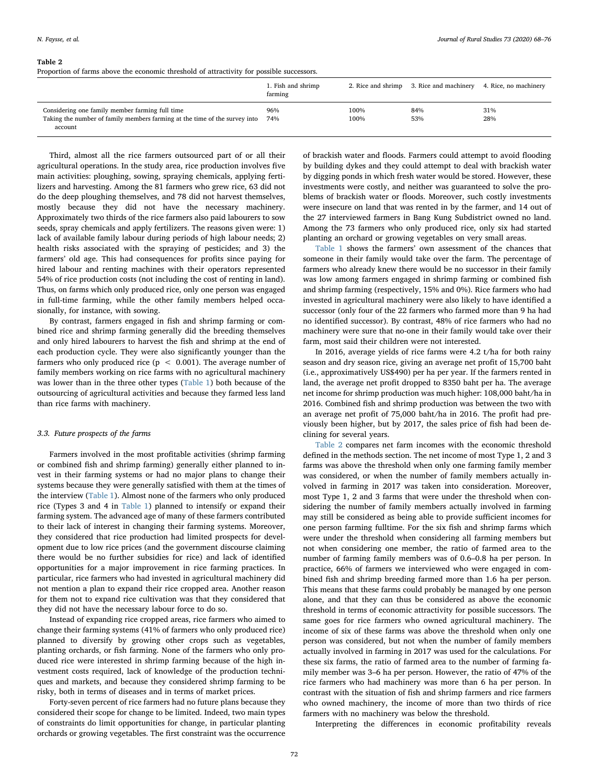#### <span id="page-4-0"></span>Table 2

Proportion of farms above the economic threshold of attractivity for possible successors.

|                                                                                                                                          | 1. Fish and shrimp<br>farming |              | 2. Rice and shrimp 3. Rice and machinery | 4. Rice, no machinery |
|------------------------------------------------------------------------------------------------------------------------------------------|-------------------------------|--------------|------------------------------------------|-----------------------|
| Considering one family member farming full time<br>Taking the number of family members farming at the time of the survey into<br>account | 96%<br>74%                    | 100%<br>100% | 84%<br>53%                               | 31%<br>28%            |

Third, almost all the rice farmers outsourced part of or all their agricultural operations. In the study area, rice production involves five main activities: ploughing, sowing, spraying chemicals, applying fertilizers and harvesting. Among the 81 farmers who grew rice, 63 did not do the deep ploughing themselves, and 78 did not harvest themselves, mostly because they did not have the necessary machinery. Approximately two thirds of the rice farmers also paid labourers to sow seeds, spray chemicals and apply fertilizers. The reasons given were: 1) lack of available family labour during periods of high labour needs; 2) health risks associated with the spraying of pesticides; and 3) the farmers' old age. This had consequences for profits since paying for hired labour and renting machines with their operators represented 54% of rice production costs (not including the cost of renting in land). Thus, on farms which only produced rice, only one person was engaged in full-time farming, while the other family members helped occasionally, for instance, with sowing.

By contrast, farmers engaged in fish and shrimp farming or combined rice and shrimp farming generally did the breeding themselves and only hired labourers to harvest the fish and shrimp at the end of each production cycle. They were also significantly younger than the farmers who only produced rice ( $p < 0.001$ ). The average number of family members working on rice farms with no agricultural machinery was lower than in the three other types ([Table 1\)](#page-3-0) both because of the outsourcing of agricultural activities and because they farmed less land than rice farms with machinery.

#### 3.3. Future prospects of the farms

Farmers involved in the most profitable activities (shrimp farming or combined fish and shrimp farming) generally either planned to invest in their farming systems or had no major plans to change their systems because they were generally satisfied with them at the times of the interview ([Table 1\)](#page-3-0). Almost none of the farmers who only produced rice (Types 3 and 4 in [Table 1](#page-3-0)) planned to intensify or expand their farming system. The advanced age of many of these farmers contributed to their lack of interest in changing their farming systems. Moreover, they considered that rice production had limited prospects for development due to low rice prices (and the government discourse claiming there would be no further subsidies for rice) and lack of identified opportunities for a major improvement in rice farming practices. In particular, rice farmers who had invested in agricultural machinery did not mention a plan to expand their rice cropped area. Another reason for them not to expand rice cultivation was that they considered that they did not have the necessary labour force to do so.

Instead of expanding rice cropped areas, rice farmers who aimed to change their farming systems (41% of farmers who only produced rice) planned to diversify by growing other crops such as vegetables, planting orchards, or fish farming. None of the farmers who only produced rice were interested in shrimp farming because of the high investment costs required, lack of knowledge of the production techniques and markets, and because they considered shrimp farming to be risky, both in terms of diseases and in terms of market prices.

Forty-seven percent of rice farmers had no future plans because they considered their scope for change to be limited. Indeed, two main types of constraints do limit opportunities for change, in particular planting orchards or growing vegetables. The first constraint was the occurrence

of brackish water and floods. Farmers could attempt to avoid flooding by building dykes and they could attempt to deal with brackish water by digging ponds in which fresh water would be stored. However, these investments were costly, and neither was guaranteed to solve the problems of brackish water or floods. Moreover, such costly investments were insecure on land that was rented in by the farmer, and 14 out of the 27 interviewed farmers in Bang Kung Subdistrict owned no land. Among the 73 farmers who only produced rice, only six had started planting an orchard or growing vegetables on very small areas.

[Table 1](#page-3-0) shows the farmers' own assessment of the chances that someone in their family would take over the farm. The percentage of farmers who already knew there would be no successor in their family was low among farmers engaged in shrimp farming or combined fish and shrimp farming (respectively, 15% and 0%). Rice farmers who had invested in agricultural machinery were also likely to have identified a successor (only four of the 22 farmers who farmed more than 9 ha had no identified successor). By contrast, 48% of rice farmers who had no machinery were sure that no-one in their family would take over their farm, most said their children were not interested.

In 2016, average yields of rice farms were 4.2 t/ha for both rainy season and dry season rice, giving an average net profit of 15,700 baht (i.e., approximatively US\$490) per ha per year. If the farmers rented in land, the average net profit dropped to 8350 baht per ha. The average net income for shrimp production was much higher: 108,000 baht/ha in 2016. Combined fish and shrimp production was between the two with an average net profit of 75,000 baht/ha in 2016. The profit had previously been higher, but by 2017, the sales price of fish had been declining for several years.

[Table 2](#page-4-0) compares net farm incomes with the economic threshold defined in the methods section. The net income of most Type 1, 2 and 3 farms was above the threshold when only one farming family member was considered, or when the number of family members actually involved in farming in 2017 was taken into consideration. Moreover, most Type 1, 2 and 3 farms that were under the threshold when considering the number of family members actually involved in farming may still be considered as being able to provide sufficient incomes for one person farming fulltime. For the six fish and shrimp farms which were under the threshold when considering all farming members but not when considering one member, the ratio of farmed area to the number of farming family members was of 0.6–0.8 ha per person. In practice, 66% of farmers we interviewed who were engaged in combined fish and shrimp breeding farmed more than 1.6 ha per person. This means that these farms could probably be managed by one person alone, and that they can thus be considered as above the economic threshold in terms of economic attractivity for possible successors. The same goes for rice farmers who owned agricultural machinery. The income of six of these farms was above the threshold when only one person was considered, but not when the number of family members actually involved in farming in 2017 was used for the calculations. For these six farms, the ratio of farmed area to the number of farming family member was 3–6 ha per person. However, the ratio of 47% of the rice farmers who had machinery was more than 6 ha per person. In contrast with the situation of fish and shrimp farmers and rice farmers who owned machinery, the income of more than two thirds of rice farmers with no machinery was below the threshold.

Interpreting the differences in economic profitability reveals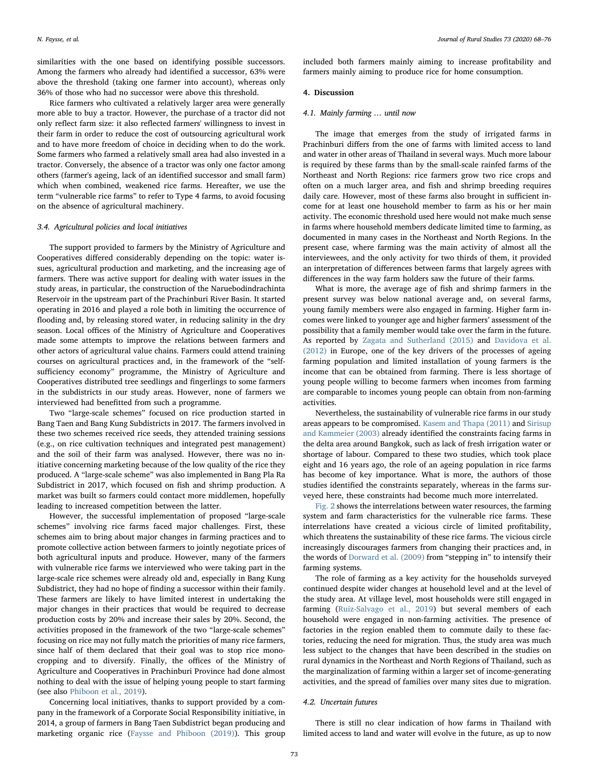similarities with the one based on identifying possible successors. Among the farmers who already had identified a successor, 63% were above the threshold (taking one farmer into account), whereas only 36% of those who had no successor were above this threshold.

Rice farmers who cultivated a relatively larger area were generally more able to buy a tractor. However, the purchase of a tractor did not only reflect farm size: it also reflected farmers' willingness to invest in their farm in order to reduce the cost of outsourcing agricultural work and to have more freedom of choice in deciding when to do the work. Some farmers who farmed a relatively small area had also invested in a tractor. Conversely, the absence of a tractor was only one factor among others (farmer's ageing, lack of an identified successor and small farm) which when combined, weakened rice farms. Hereafter, we use the term "vulnerable rice farms" to refer to Type 4 farms, to avoid focusing on the absence of agricultural machinery.

#### 3.4. Agricultural policies and local initiatives

The support provided to farmers by the Ministry of Agriculture and Cooperatives differed considerably depending on the topic: water issues, agricultural production and marketing, and the increasing age of farmers. There was active support for dealing with water issues in the study areas, in particular, the construction of the Naruebodindrachinta Reservoir in the upstream part of the Prachinburi River Basin. It started operating in 2016 and played a role both in limiting the occurrence of flooding and, by releasing stored water, in reducing salinity in the dry season. Local offices of the Ministry of Agriculture and Cooperatives made some attempts to improve the relations between farmers and other actors of agricultural value chains. Farmers could attend training courses on agricultural practices and, in the framework of the "selfsufficiency economy" programme, the Ministry of Agriculture and Cooperatives distributed tree seedlings and fingerlings to some farmers in the subdistricts in our study areas. However, none of farmers we interviewed had benefitted from such a programme.

Two "large-scale schemes" focused on rice production started in Bang Taen and Bang Kung Subdistricts in 2017. The farmers involved in these two schemes received rice seeds, they attended training sessions (e.g., on rice cultivation techniques and integrated pest management) and the soil of their farm was analysed. However, there was no initiative concerning marketing because of the low quality of the rice they produced. A "large-scale scheme" was also implemented in Bang Pla Ra Subdistrict in 2017, which focused on fish and shrimp production. A market was built so farmers could contact more middlemen, hopefully leading to increased competition between the latter.

However, the successful implementation of proposed "large-scale schemes" involving rice farms faced major challenges. First, these schemes aim to bring about major changes in farming practices and to promote collective action between farmers to jointly negotiate prices of both agricultural inputs and produce. However, many of the farmers with vulnerable rice farms we interviewed who were taking part in the large-scale rice schemes were already old and, especially in Bang Kung Subdistrict, they had no hope of finding a successor within their family. These farmers are likely to have limited interest in undertaking the major changes in their practices that would be required to decrease production costs by 20% and increase their sales by 20%. Second, the activities proposed in the framework of the two "large-scale schemes" focusing on rice may not fully match the priorities of many rice farmers, since half of them declared that their goal was to stop rice monocropping and to diversify. Finally, the offices of the Ministry of Agriculture and Cooperatives in Prachinburi Province had done almost nothing to deal with the issue of helping young people to start farming (see also [Phiboon et al., 2019](#page-7-25)).

Concerning local initiatives, thanks to support provided by a company in the framework of a Corporate Social Responsibility initiative, in 2014, a group of farmers in Bang Taen Subdistrict began producing and marketing organic rice [\(Faysse and Phiboon \(2019\)](#page-7-26)). This group included both farmers mainly aiming to increase profitability and farmers mainly aiming to produce rice for home consumption.

### 4. Discussion

#### 4.1. Mainly farming … until now

The image that emerges from the study of irrigated farms in Prachinburi differs from the one of farms with limited access to land and water in other areas of Thailand in several ways. Much more labour is required by these farms than by the small-scale rainfed farms of the Northeast and North Regions: rice farmers grow two rice crops and often on a much larger area, and fish and shrimp breeding requires daily care. However, most of these farms also brought in sufficient income for at least one household member to farm as his or her main activity. The economic threshold used here would not make much sense in farms where household members dedicate limited time to farming, as documented in many cases in the Northeast and North Regions. In the present case, where farming was the main activity of almost all the interviewees, and the only activity for two thirds of them, it provided an interpretation of differences between farms that largely agrees with differences in the way farm holders saw the future of their farms.

What is more, the average age of fish and shrimp farmers in the present survey was below national average and, on several farms, young family members were also engaged in farming. Higher farm incomes were linked to younger age and higher farmers' assessment of the possibility that a family member would take over the farm in the future. As reported by [Zagata and Sutherland \(2015\)](#page-8-12) and [Davidova et al.](#page-7-27) [\(2012\)](#page-7-27) in Europe, one of the key drivers of the processes of ageing farming population and limited installation of young farmers is the income that can be obtained from farming. There is less shortage of young people willing to become farmers when incomes from farming are comparable to incomes young people can obtain from non-farming activities.

Nevertheless, the sustainability of vulnerable rice farms in our study areas appears to be compromised. [Kasem and Thapa \(2011\)](#page-7-28) and [Sirisup](#page-8-8) [and Kammeier \(2003\)](#page-8-8) already identified the constraints facing farms in the delta area around Bangkok, such as lack of fresh irrigation water or shortage of labour. Compared to these two studies, which took place eight and 16 years ago, the role of an ageing population in rice farms has become of key importance. What is more, the authors of those studies identified the constraints separately, whereas in the farms surveyed here, these constraints had become much more interrelated.

[Fig. 2](#page-6-0) shows the interrelations between water resources, the farming system and farm characteristics for the vulnerable rice farms. These interrelations have created a vicious circle of limited profitability, which threatens the sustainability of these rice farms. The vicious circle increasingly discourages farmers from changing their practices and, in the words of [Dorward et al. \(2009\)](#page-7-29) from "stepping in" to intensify their farming systems.

The role of farming as a key activity for the households surveyed continued despite wider changes at household level and at the level of the study area. At village level, most households were still engaged in farming [\(Ruiz-Salvago et al., 2019](#page-8-10)) but several members of each household were engaged in non-farming activities. The presence of factories in the region enabled them to commute daily to these factories, reducing the need for migration. Thus, the study area was much less subject to the changes that have been described in the studies on rural dynamics in the Northeast and North Regions of Thailand, such as the marginalization of farming within a larger set of income-generating activities, and the spread of families over many sites due to migration.

#### 4.2. Uncertain futures

There is still no clear indication of how farms in Thailand with limited access to land and water will evolve in the future, as up to now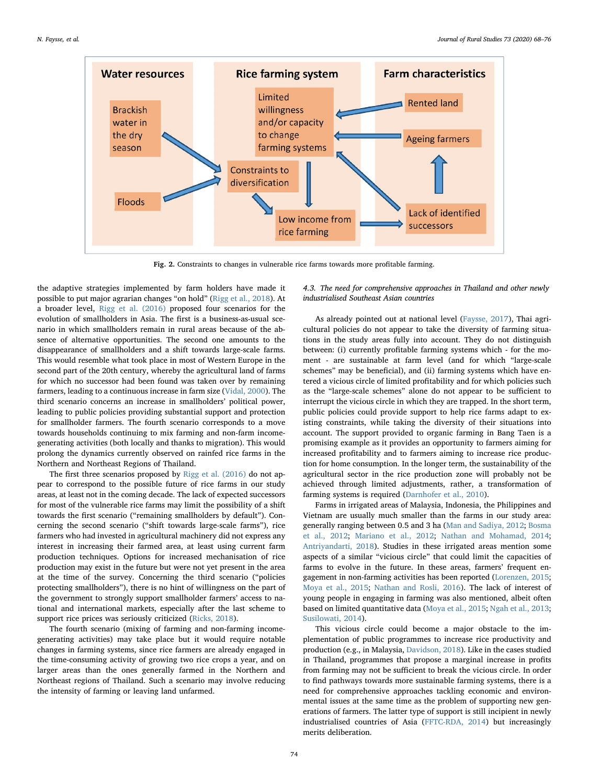<span id="page-6-0"></span>

Fig. 2. Constraints to changes in vulnerable rice farms towards more profitable farming.

the adaptive strategies implemented by farm holders have made it possible to put major agrarian changes "on hold" [\(Rigg et al., 2018](#page-8-13)). At a broader level, [Rigg et al. \(2016\)](#page-8-0) proposed four scenarios for the evolution of smallholders in Asia. The first is a business-as-usual scenario in which smallholders remain in rural areas because of the absence of alternative opportunities. The second one amounts to the disappearance of smallholders and a shift towards large-scale farms. This would resemble what took place in most of Western Europe in the second part of the 20th century, whereby the agricultural land of farms for which no successor had been found was taken over by remaining farmers, leading to a continuous increase in farm size ([Vidal, 2000](#page-8-14)). The third scenario concerns an increase in smallholders' political power, leading to public policies providing substantial support and protection for smallholder farmers. The fourth scenario corresponds to a move towards households continuing to mix farming and non-farm incomegenerating activities (both locally and thanks to migration). This would prolong the dynamics currently observed on rainfed rice farms in the Northern and Northeast Regions of Thailand.

The first three scenarios proposed by [Rigg et al. \(2016\)](#page-8-0) do not appear to correspond to the possible future of rice farms in our study areas, at least not in the coming decade. The lack of expected successors for most of the vulnerable rice farms may limit the possibility of a shift towards the first scenario ("remaining smallholders by default"). Concerning the second scenario ("shift towards large-scale farms"), rice farmers who had invested in agricultural machinery did not express any interest in increasing their farmed area, at least using current farm production techniques. Options for increased mechanisation of rice production may exist in the future but were not yet present in the area at the time of the survey. Concerning the third scenario ("policies protecting smallholders"), there is no hint of willingness on the part of the government to strongly support smallholder farmers' access to national and international markets, especially after the last scheme to support rice prices was seriously criticized ([Ricks, 2018](#page-7-20)).

The fourth scenario (mixing of farming and non-farming incomegenerating activities) may take place but it would require notable changes in farming systems, since rice farmers are already engaged in the time-consuming activity of growing two rice crops a year, and on larger areas than the ones generally farmed in the Northern and Northeast regions of Thailand. Such a scenario may involve reducing the intensity of farming or leaving land unfarmed.

4.3. The need for comprehensive approaches in Thailand and other newly industrialised Southeast Asian countries

As already pointed out at national level [\(Faysse, 2017](#page-7-30)), Thai agricultural policies do not appear to take the diversity of farming situations in the study areas fully into account. They do not distinguish between: (i) currently profitable farming systems which - for the moment - are sustainable at farm level (and for which "large-scale schemes" may be beneficial), and (ii) farming systems which have entered a vicious circle of limited profitability and for which policies such as the "large-scale schemes" alone do not appear to be sufficient to interrupt the vicious circle in which they are trapped. In the short term, public policies could provide support to help rice farms adapt to existing constraints, while taking the diversity of their situations into account. The support provided to organic farming in Bang Taen is a promising example as it provides an opportunity to farmers aiming for increased profitability and to farmers aiming to increase rice production for home consumption. In the longer term, the sustainability of the agricultural sector in the rice production zone will probably not be achieved through limited adjustments, rather, a transformation of farming systems is required [\(Darnhofer et al., 2010\)](#page-7-31).

Farms in irrigated areas of Malaysia, Indonesia, the Philippines and Vietnam are usually much smaller than the farms in our study area: generally ranging between 0.5 and 3 ha [\(Man and Sadiya, 2012](#page-7-32); [Bosma](#page-7-33) [et al., 2012](#page-7-33); [Mariano et al., 2012](#page-7-34); [Nathan and Mohamad, 2014](#page-7-35); [Antriyandarti, 2018](#page-7-36)). Studies in these irrigated areas mention some aspects of a similar "vicious circle" that could limit the capacities of farms to evolve in the future. In these areas, farmers' frequent engagement in non-farming activities has been reported ([Lorenzen, 2015](#page-7-37); [Moya et al., 2015;](#page-7-38) [Nathan and Rosli, 2016](#page-7-39)). The lack of interest of young people in engaging in farming was also mentioned, albeit often based on limited quantitative data ([Moya et al., 2015;](#page-7-38) [Ngah et al., 2013](#page-7-40); [Susilowati, 2014\)](#page-8-15).

This vicious circle could become a major obstacle to the implementation of public programmes to increase rice productivity and production (e.g., in Malaysia, [Davidson, 2018](#page-7-41)). Like in the cases studied in Thailand, programmes that propose a marginal increase in profits from farming may not be sufficient to break the vicious circle. In order to find pathways towards more sustainable farming systems, there is a need for comprehensive approaches tackling economic and environmental issues at the same time as the problem of supporting new generations of farmers. The latter type of support is still incipient in newly industrialised countries of Asia ([FFTC-RDA, 2014](#page-7-42)) but increasingly merits deliberation.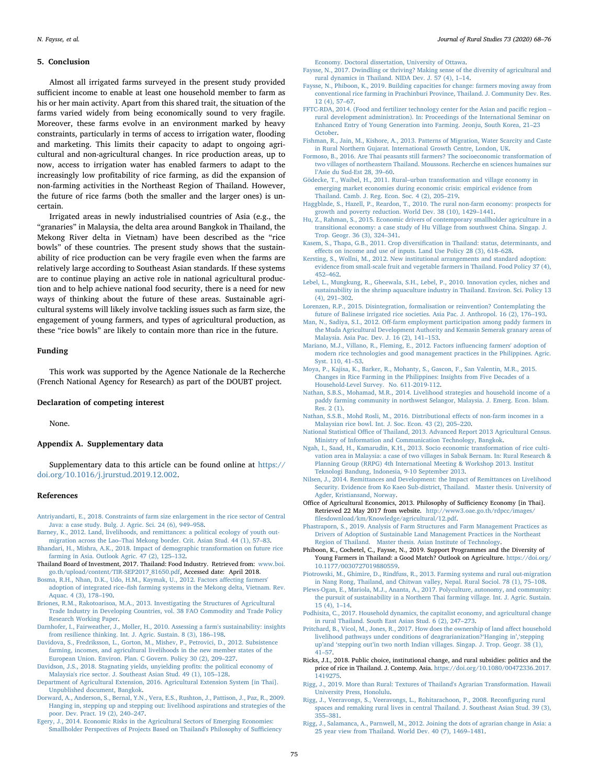#### 5. Conclusion

Almost all irrigated farms surveyed in the present study provided sufficient income to enable at least one household member to farm as his or her main activity. Apart from this shared trait, the situation of the farms varied widely from being economically sound to very fragile. Moreover, these farms evolve in an environment marked by heavy constraints, particularly in terms of access to irrigation water, flooding and marketing. This limits their capacity to adapt to ongoing agricultural and non-agricultural changes. In rice production areas, up to now, access to irrigation water has enabled farmers to adapt to the increasingly low profitability of rice farming, as did the expansion of non-farming activities in the Northeast Region of Thailand. However, the future of rice farms (both the smaller and the larger ones) is uncertain.

Irrigated areas in newly industrialised countries of Asia (e.g., the "granaries" in Malaysia, the delta area around Bangkok in Thailand, the Mekong River delta in Vietnam) have been described as the "rice bowls" of these countries. The present study shows that the sustainability of rice production can be very fragile even when the farms are relatively large according to Southeast Asian standards. If these systems are to continue playing an active role in national agricultural production and to help achieve national food security, there is a need for new ways of thinking about the future of these areas. Sustainable agricultural systems will likely involve tackling issues such as farm size, the engagement of young farmers, and types of agricultural production, as these "rice bowls" are likely to contain more than rice in the future.

#### Funding

This work was supported by the Agence Nationale de la Recherche (French National Agency for Research) as part of the DOUBT project.

#### Declaration of competing interest

None.

#### Appendix A. Supplementary data

Supplementary data to this article can be found online at [https://](https://doi.org/10.1016/j.jrurstud.2019.12.002) [doi.org/10.1016/j.jrurstud.2019.12.002](https://doi.org/10.1016/j.jrurstud.2019.12.002).

#### References

- <span id="page-7-36"></span>[Antriyandarti, E., 2018. Constraints of farm size enlargement in the rice sector of Central](http://refhub.elsevier.com/S0743-0167(19)30698-9/sref1) [Java: a case study. Bulg. J. Agric. Sci. 24 \(6\), 949](http://refhub.elsevier.com/S0743-0167(19)30698-9/sref1)–958.
- <span id="page-7-10"></span>[Barney, K., 2012. Land, livelihoods, and remittances: a political ecology of youth out](http://refhub.elsevier.com/S0743-0167(19)30698-9/sref2)migration across the Lao–[Thai Mekong border. Crit. Asian Stud. 44 \(1\), 57](http://refhub.elsevier.com/S0743-0167(19)30698-9/sref2)–83.
- <span id="page-7-12"></span>[Bhandari, H., Mishra, A.K., 2018. Impact of demographic transformation on future rice](http://refhub.elsevier.com/S0743-0167(19)30698-9/sref3) [farming in Asia. Outlook Agric. 47 \(2\), 125](http://refhub.elsevier.com/S0743-0167(19)30698-9/sref3)–132.
- <span id="page-7-16"></span>Thailand Board of Investment, 2017. Thailand: Food Industry. Retrieved from: [www.boi.](http://www.boi.go.th/upload/content/TIR-SEP2017_81650.pdf) [go.th/upload/content/TIR-SEP2017\\_81650.pdf](http://www.boi.go.th/upload/content/TIR-SEP2017_81650.pdf), Accessed date: April 2018.
- <span id="page-7-33"></span>[Bosma, R.H., Nhan, D.K., Udo, H.M., Kaymak, U., 2012. Factors a](http://refhub.elsevier.com/S0743-0167(19)30698-9/sref5)ffecting farmers' adoption of integrated rice–fi[sh farming systems in the Mekong delta, Vietnam. Rev.](http://refhub.elsevier.com/S0743-0167(19)30698-9/sref5) [Aquac. 4 \(3\), 178](http://refhub.elsevier.com/S0743-0167(19)30698-9/sref5)–190.
- <span id="page-7-18"></span>[Briones, R.M., Rakotoarisoa, M.A., 2013. Investigating the Structures of Agricultural](http://refhub.elsevier.com/S0743-0167(19)30698-9/sref6) [Trade Industry in Developing Countries, vol. 38 FAO Commodity and Trade Policy](http://refhub.elsevier.com/S0743-0167(19)30698-9/sref6) [Research Working Paper](http://refhub.elsevier.com/S0743-0167(19)30698-9/sref6).
- <span id="page-7-31"></span>[Darnhofer, I., Fairweather, J., Moller, H., 2010. Assessing a farm's sustainability: insights](http://refhub.elsevier.com/S0743-0167(19)30698-9/sref7) [from resilience thinking. Int. J. Agric. Sustain. 8 \(3\), 186](http://refhub.elsevier.com/S0743-0167(19)30698-9/sref7)–198.
- <span id="page-7-27"></span>[Davidova, S., Fredriksson, L., Gorton, M., Mishev, P., Petrovici, D., 2012. Subsistence](http://refhub.elsevier.com/S0743-0167(19)30698-9/sref8) [farming, incomes, and agricultural livelihoods in the new member states of the](http://refhub.elsevier.com/S0743-0167(19)30698-9/sref8) [European Union. Environ. Plan. C Govern. Policy 30 \(2\), 209](http://refhub.elsevier.com/S0743-0167(19)30698-9/sref8)–227.
- <span id="page-7-41"></span>[Davidson, J.S., 2018. Stagnating yields, unyielding pro](http://refhub.elsevier.com/S0743-0167(19)30698-9/sref9)fits: the political economy of [Malaysia's rice sector. J. Southeast Asian Stud. 49 \(1\), 105](http://refhub.elsevier.com/S0743-0167(19)30698-9/sref9)–128.
- <span id="page-7-22"></span>[Department of Agricultural Extension, 2016. Agricultural Extension System \[in Thai\].](http://refhub.elsevier.com/S0743-0167(19)30698-9/sref10) [Unpublished document, Bangkok.](http://refhub.elsevier.com/S0743-0167(19)30698-9/sref10)
- <span id="page-7-29"></span>[Dorward, A., Anderson, S., Bernal, Y.N., Vera, E.S., Rushton, J., Pattison, J., Paz, R., 2009.](http://refhub.elsevier.com/S0743-0167(19)30698-9/sref11) [Hanging in, stepping up and stepping out: livelihood aspirations and strategies of the](http://refhub.elsevier.com/S0743-0167(19)30698-9/sref11) [poor. Dev. Pract. 19 \(2\), 240](http://refhub.elsevier.com/S0743-0167(19)30698-9/sref11)–247.
- <span id="page-7-21"></span>[Egery, J., 2014. Economic Risks in the Agricultural Sectors of Emerging Economies:](http://refhub.elsevier.com/S0743-0167(19)30698-9/sref12) [Smallholder Perspectives of Projects Based on Thailand's Philosophy of Su](http://refhub.elsevier.com/S0743-0167(19)30698-9/sref12)fficiency

[Economy. Doctoral dissertation, University of Ottawa.](http://refhub.elsevier.com/S0743-0167(19)30698-9/sref12)

- <span id="page-7-30"></span>[Faysse, N., 2017. Dwindling or thriving? Making sense of the diversity of agricultural and](http://refhub.elsevier.com/S0743-0167(19)30698-9/sref13) [rural dynamics in Thailand. NIDA Dev. J. 57 \(4\), 1](http://refhub.elsevier.com/S0743-0167(19)30698-9/sref13)–14.
- <span id="page-7-26"></span>[Faysse, N., Phiboon, K., 2019. Building capacities for change: farmers moving away from](http://refhub.elsevier.com/S0743-0167(19)30698-9/optKpmfsoxeu2) [conventional rice farming in Prachinburi Province, Thailand. J. Community Dev. Res.](http://refhub.elsevier.com/S0743-0167(19)30698-9/optKpmfsoxeu2) [12 \(4\), 57](http://refhub.elsevier.com/S0743-0167(19)30698-9/optKpmfsoxeu2)–67.
- <span id="page-7-42"></span>[FFTC-RDA, 2014. \(Food and fertilizer technology center for the Asian and paci](http://refhub.elsevier.com/S0743-0167(19)30698-9/sref15)fic region – [rural development administration\). In: Proceedings of the International Seminar on](http://refhub.elsevier.com/S0743-0167(19)30698-9/sref15) [Enhanced Entry of Young Generation into Farming. Jeonju, South Korea, 21](http://refhub.elsevier.com/S0743-0167(19)30698-9/sref15)–23 [October](http://refhub.elsevier.com/S0743-0167(19)30698-9/sref15).
- <span id="page-7-1"></span>[Fishman, R., Jain, M., Kishore, A., 2013. Patterns of Migration, Water Scarcity and Caste](http://refhub.elsevier.com/S0743-0167(19)30698-9/sref16) [in Rural Northern Gujarat. International Growth Centre, London, UK.](http://refhub.elsevier.com/S0743-0167(19)30698-9/sref16)
- <span id="page-7-8"></span>[Formoso, B., 2016. Are Thai peasants still farmers? The socioeconomic transformation of](http://refhub.elsevier.com/S0743-0167(19)30698-9/sref17) [two villages of northeastern Thailand. Moussons. Recherche en sciences humaines sur](http://refhub.elsevier.com/S0743-0167(19)30698-9/sref17) l'[Asie du Sud-Est 28, 39](http://refhub.elsevier.com/S0743-0167(19)30698-9/sref17)–60.
- <span id="page-7-4"></span>Gödecke, T., Waibel, H., 2011. Rural–urban [transformation and village economy in](http://refhub.elsevier.com/S0743-0167(19)30698-9/sref18) [emerging market economies during economic crisis: empirical evidence from](http://refhub.elsevier.com/S0743-0167(19)30698-9/sref18) [Thailand. Camb. J. Reg. Econ. Soc. 4 \(2\), 205](http://refhub.elsevier.com/S0743-0167(19)30698-9/sref18)–219.
- <span id="page-7-0"></span>[Haggblade, S., Hazell, P., Reardon, T., 2010. The rural non-farm economy: prospects for](http://refhub.elsevier.com/S0743-0167(19)30698-9/sref19) [growth and poverty reduction. World Dev. 38 \(10\), 1429](http://refhub.elsevier.com/S0743-0167(19)30698-9/sref19)–1441.
- <span id="page-7-2"></span>[Hu, Z., Rahman, S., 2015. Economic drivers of contemporary smallholder agriculture in a](http://refhub.elsevier.com/S0743-0167(19)30698-9/sref20) [transitional economy: a case study of Hu Village from southwest China. Singap. J.](http://refhub.elsevier.com/S0743-0167(19)30698-9/sref20) [Trop. Geogr. 36 \(3\), 324](http://refhub.elsevier.com/S0743-0167(19)30698-9/sref20)–341.
- <span id="page-7-28"></span>Kasem, S., Thapa, G.B., 2011. Crop diversifi[cation in Thailand: status, determinants, and](http://refhub.elsevier.com/S0743-0167(19)30698-9/sref21) eff[ects on income and use of inputs. Land Use Policy 28 \(3\), 618](http://refhub.elsevier.com/S0743-0167(19)30698-9/sref21)–628.
- <span id="page-7-17"></span>[Kersting, S., Wollni, M., 2012. New institutional arrangements and standard adoption:](http://refhub.elsevier.com/S0743-0167(19)30698-9/sref22) [evidence from small-scale fruit and vegetable farmers in Thailand. Food Policy 37 \(4\),](http://refhub.elsevier.com/S0743-0167(19)30698-9/sref22) 452–[462](http://refhub.elsevier.com/S0743-0167(19)30698-9/sref22).
- <span id="page-7-19"></span>[Lebel, L., Mungkung, R., Gheewala, S.H., Lebel, P., 2010. Innovation cycles, niches and](http://refhub.elsevier.com/S0743-0167(19)30698-9/sref23) [sustainability in the shrimp aquaculture industry in Thailand. Environ. Sci. Policy 13](http://refhub.elsevier.com/S0743-0167(19)30698-9/sref23) [\(4\), 291](http://refhub.elsevier.com/S0743-0167(19)30698-9/sref23)–302.
- <span id="page-7-37"></span>[Lorenzen, R.P., 2015. Disintegration, formalisation or reinvention? Contemplating the](http://refhub.elsevier.com/S0743-0167(19)30698-9/sref24) [future of Balinese irrigated rice societies. Asia Pac. J. Anthropol. 16 \(2\), 176](http://refhub.elsevier.com/S0743-0167(19)30698-9/sref24)–193.
- <span id="page-7-32"></span>Man, N., Sadiya, S.I., 2012. Off[-farm employment participation among paddy farmers in](http://refhub.elsevier.com/S0743-0167(19)30698-9/sref25) [the Muda Agricultural Development Authority and Kemasin Semerak granary areas of](http://refhub.elsevier.com/S0743-0167(19)30698-9/sref25) [Malaysia. Asia Pac. Dev. J. 16 \(2\), 141](http://refhub.elsevier.com/S0743-0167(19)30698-9/sref25)–153.
- <span id="page-7-34"></span>[Mariano, M.J., Villano, R., Fleming, E., 2012. Factors in](http://refhub.elsevier.com/S0743-0167(19)30698-9/sref26)fluencing farmers' adoption of [modern rice technologies and good management practices in the Philippines. Agric.](http://refhub.elsevier.com/S0743-0167(19)30698-9/sref26) [Syst. 110, 41](http://refhub.elsevier.com/S0743-0167(19)30698-9/sref26)–53.
- <span id="page-7-38"></span>[Moya, P., Kajisa, K., Barker, R., Mohanty, S., Gascon, F., San Valentin, M.R., 2015.](http://refhub.elsevier.com/S0743-0167(19)30698-9/sref27) [Changes in Rice Farming in the Philippines: Insights from Five Decades of a](http://refhub.elsevier.com/S0743-0167(19)30698-9/sref27) [Household-Level Survey. No. 611-2019-112](http://refhub.elsevier.com/S0743-0167(19)30698-9/sref27).
- <span id="page-7-35"></span>[Nathan, S.B.S., Mohamad, M.R., 2014. Livelihood strategies and household income of a](http://refhub.elsevier.com/S0743-0167(19)30698-9/sref28) [paddy farming community in northwest Selangor, Malaysia. J. Emerg. Econ. Islam.](http://refhub.elsevier.com/S0743-0167(19)30698-9/sref28) [Res. 2 \(1\)](http://refhub.elsevier.com/S0743-0167(19)30698-9/sref28).
- <span id="page-7-39"></span>[Nathan, S.S.B., Mohd Rosli, M., 2016. Distributional e](http://refhub.elsevier.com/S0743-0167(19)30698-9/sref29)ffects of non-farm incomes in a [Malaysian rice bowl. Int. J. Soc. Econ. 43 \(2\), 205](http://refhub.elsevier.com/S0743-0167(19)30698-9/sref29)–220.
- <span id="page-7-23"></span>National Statistical Offi[ce of Thailand, 2013. Advanced Report 2013 Agricultural Census.](http://refhub.elsevier.com/S0743-0167(19)30698-9/sref30) [Ministry of Information and Communication Technology, Bangkok](http://refhub.elsevier.com/S0743-0167(19)30698-9/sref30).
- <span id="page-7-40"></span>[Ngah, I., Saad, H., Kamarudin, K.H., 2013. Socio economic transformation of rice culti](http://refhub.elsevier.com/S0743-0167(19)30698-9/sref31)[vation area in Malaysia: a case of two villages in Sabak Bernam. In: Rural Research &](http://refhub.elsevier.com/S0743-0167(19)30698-9/sref31) [Planning Group \(RRPG\) 4th International Meeting & Workshop 2013. Institut](http://refhub.elsevier.com/S0743-0167(19)30698-9/sref31) [Teknologi Bandung, Indonesia, 9-10 September 2013.](http://refhub.elsevier.com/S0743-0167(19)30698-9/sref31)
- <span id="page-7-5"></span>[Nilsen, J., 2014. Remittances and Development: the Impact of Remittances on Livelihood](http://refhub.elsevier.com/S0743-0167(19)30698-9/sref32) [Security. Evidence from Ko Kaeo Sub-district, Thailand. Master thesis. University of](http://refhub.elsevier.com/S0743-0167(19)30698-9/sref32) [Agder, Kristiansand, Norway](http://refhub.elsevier.com/S0743-0167(19)30698-9/sref32).
- <span id="page-7-24"></span>Office of Agricultural Economics, 2013. Philosophy of Sufficiency Economy [in Thai]. Retrieved 22 May 2017 from website. [http://www3.oae.go.th/rdpcc/images/](http://www3.oae.go.th/rdpcc/images/filesdownload/km/Knowledge/agricultural/12.pdf) fi[lesdownload/km/Knowledge/agricultural/12.pdf.](http://www3.oae.go.th/rdpcc/images/filesdownload/km/Knowledge/agricultural/12.pdf)
- <span id="page-7-13"></span>[Phastraporn, S., 2019. Analysis of Farm Structures and Farm Management Practices as](http://refhub.elsevier.com/S0743-0167(19)30698-9/sref34) [Drivers of Adoption of Sustainable Land Management Practices in the Northeast](http://refhub.elsevier.com/S0743-0167(19)30698-9/sref34) [Region of Thailand. Master thesis. Asian Institute of Technology](http://refhub.elsevier.com/S0743-0167(19)30698-9/sref34).
- <span id="page-7-25"></span>Phiboon, K., Cochetel, C., Faysse, N., 2019. Support Programmes and the Diversity of Young Farmers in Thailand: a Good Match? Outlook on Agriculture. [https://doi.org/](https://doi.org/10.1177/0030727019880559) [10.1177/0030727019880559](https://doi.org/10.1177/0030727019880559).
- <span id="page-7-14"></span>[Piotrowski, M., Ghimire, D., Rindfuss, R., 2013. Farming systems and rural out](http://refhub.elsevier.com/S0743-0167(19)30698-9/sref36)‐migration [in Nang Rong, Thailand, and Chitwan valley, Nepal. Rural Sociol. 78 \(1\), 75](http://refhub.elsevier.com/S0743-0167(19)30698-9/sref36)–108.
- <span id="page-7-15"></span>[Plews-Ogan, E., Mariola, M.J., Ananta, A., 2017. Polyculture, autonomy, and community:](http://refhub.elsevier.com/S0743-0167(19)30698-9/sref37) [the pursuit of sustainability in a Northern Thai farming village. Int. J. Agric. Sustain.](http://refhub.elsevier.com/S0743-0167(19)30698-9/sref37) [15 \(4\), 1](http://refhub.elsevier.com/S0743-0167(19)30698-9/sref37)–14.
- <span id="page-7-9"></span>[Podhisita, C., 2017. Household dynamics, the capitalist economy, and agricultural change](http://refhub.elsevier.com/S0743-0167(19)30698-9/sref38) [in rural Thailand. South East Asian Stud. 6 \(2\), 247](http://refhub.elsevier.com/S0743-0167(19)30698-9/sref38)–273.
- <span id="page-7-3"></span>[Pritchard, B., Vicol, M., Jones, R., 2017. How does the ownership of land a](http://refhub.elsevier.com/S0743-0167(19)30698-9/sref39)ffect household [livelihood pathways under conditions of deagrarianization?](http://refhub.elsevier.com/S0743-0167(19)30698-9/sref39)'Hanging in','stepping up'and 'stepping out'[in two north Indian villages. Singap. J. Trop. Geogr. 38 \(1\),](http://refhub.elsevier.com/S0743-0167(19)30698-9/sref39) 41–[57](http://refhub.elsevier.com/S0743-0167(19)30698-9/sref39).
- <span id="page-7-20"></span>Ricks, J.I., 2018. Public choice, institutional change, and rural subsidies: politics and the price of rice in Thailand. J. Contemp. Asia. [https://doi.org/10.1080/00472336.2017.](https://doi.org/10.1080/00472336.2017.1419275) [1419275.](https://doi.org/10.1080/00472336.2017.1419275)
- <span id="page-7-11"></span>[Rigg, J., 2019. More than Rural: Textures of Thailand's Agrarian Transformation. Hawaii](http://refhub.elsevier.com/S0743-0167(19)30698-9/sref41) [University Press, Honolulu](http://refhub.elsevier.com/S0743-0167(19)30698-9/sref41).
- <span id="page-7-7"></span>[Rigg, J., Veeravongs, S., Veeravongs, L., Rohitarachoon, P., 2008. Recon](http://refhub.elsevier.com/S0743-0167(19)30698-9/sref42)figuring rural [spaces and remaking rural lives in central Thailand. J. Southeast Asian Stud. 39 \(3\),](http://refhub.elsevier.com/S0743-0167(19)30698-9/sref42) 355–[381](http://refhub.elsevier.com/S0743-0167(19)30698-9/sref42).
- <span id="page-7-6"></span>[Rigg, J., Salamanca, A., Parnwell, M., 2012. Joining the dots of agrarian change in Asia: a](http://refhub.elsevier.com/S0743-0167(19)30698-9/sref43) [25 year view from Thailand. World Dev. 40 \(7\), 1469](http://refhub.elsevier.com/S0743-0167(19)30698-9/sref43)–1481.